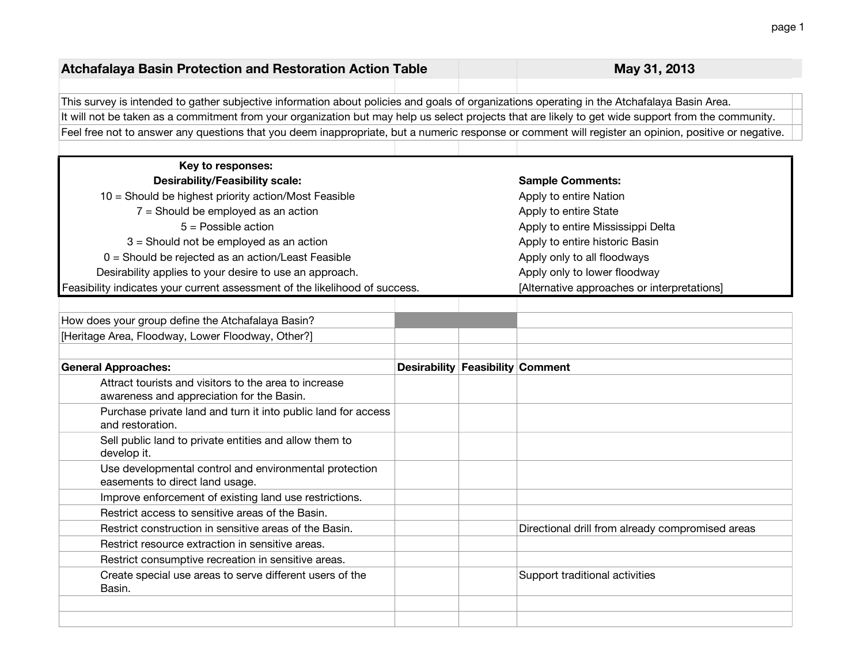| <b>Atchafalaya Basin Protection and Restoration Action Table</b>                                                                                     |                                         | May 31, 2013                                     |
|------------------------------------------------------------------------------------------------------------------------------------------------------|-----------------------------------------|--------------------------------------------------|
| This survey is intended to gather subjective information about policies and goals of organizations operating in the Atchafalaya Basin Area.          |                                         |                                                  |
| It will not be taken as a commitment from your organization but may help us select projects that are likely to get wide support from the community.  |                                         |                                                  |
| Feel free not to answer any questions that you deem inappropriate, but a numeric response or comment will register an opinion, positive or negative. |                                         |                                                  |
|                                                                                                                                                      |                                         |                                                  |
| Key to responses:                                                                                                                                    |                                         |                                                  |
| <b>Desirability/Feasibility scale:</b>                                                                                                               |                                         | <b>Sample Comments:</b>                          |
| 10 = Should be highest priority action/Most Feasible                                                                                                 |                                         | Apply to entire Nation                           |
| $7 =$ Should be employed as an action                                                                                                                |                                         | Apply to entire State                            |
| $5 =$ Possible action                                                                                                                                |                                         | Apply to entire Mississippi Delta                |
| 3 = Should not be employed as an action                                                                                                              |                                         | Apply to entire historic Basin                   |
| 0 = Should be rejected as an action/Least Feasible                                                                                                   |                                         | Apply only to all floodways                      |
| Desirability applies to your desire to use an approach.                                                                                              |                                         | Apply only to lower floodway                     |
| Feasibility indicates your current assessment of the likelihood of success.                                                                          |                                         | [Alternative approaches or interpretations]      |
|                                                                                                                                                      |                                         |                                                  |
| How does your group define the Atchafalaya Basin?                                                                                                    |                                         |                                                  |
| [Heritage Area, Floodway, Lower Floodway, Other?]                                                                                                    |                                         |                                                  |
| <b>General Approaches:</b>                                                                                                                           | <b>Desirability Feasibility Comment</b> |                                                  |
| Attract tourists and visitors to the area to increase<br>awareness and appreciation for the Basin.                                                   |                                         |                                                  |
| Purchase private land and turn it into public land for access<br>and restoration.                                                                    |                                         |                                                  |
| Sell public land to private entities and allow them to<br>develop it.                                                                                |                                         |                                                  |
| Use developmental control and environmental protection<br>easements to direct land usage.                                                            |                                         |                                                  |
| Improve enforcement of existing land use restrictions.                                                                                               |                                         |                                                  |
| Restrict access to sensitive areas of the Basin.                                                                                                     |                                         |                                                  |
| Restrict construction in sensitive areas of the Basin.                                                                                               |                                         | Directional drill from already compromised areas |
| Restrict resource extraction in sensitive areas.                                                                                                     |                                         |                                                  |
| Restrict consumptive recreation in sensitive areas.                                                                                                  |                                         |                                                  |
| Create special use areas to serve different users of the<br>Basin.                                                                                   |                                         | Support traditional activities                   |
|                                                                                                                                                      |                                         |                                                  |
|                                                                                                                                                      |                                         |                                                  |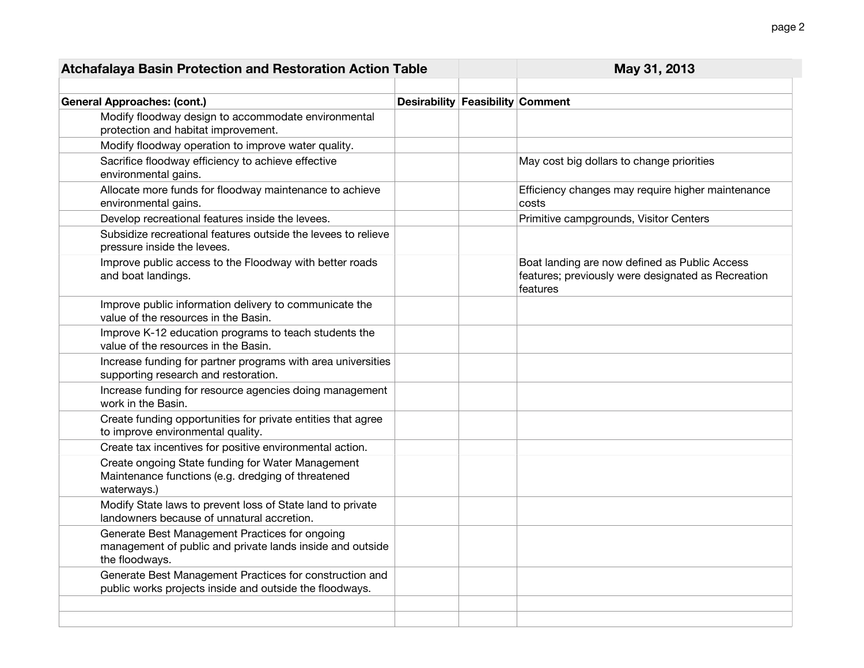| <b>Atchafalaya Basin Protection and Restoration Action Table</b>                                                              |                                  | May 31, 2013                                                                                                    |
|-------------------------------------------------------------------------------------------------------------------------------|----------------------------------|-----------------------------------------------------------------------------------------------------------------|
|                                                                                                                               |                                  |                                                                                                                 |
| <b>General Approaches: (cont.)</b>                                                                                            | Desirability Feasibility Comment |                                                                                                                 |
| Modify floodway design to accommodate environmental<br>protection and habitat improvement.                                    |                                  |                                                                                                                 |
| Modify floodway operation to improve water quality.                                                                           |                                  |                                                                                                                 |
| Sacrifice floodway efficiency to achieve effective<br>environmental gains.                                                    |                                  | May cost big dollars to change priorities                                                                       |
| Allocate more funds for floodway maintenance to achieve<br>environmental gains.                                               |                                  | Efficiency changes may require higher maintenance<br>costs                                                      |
| Develop recreational features inside the levees.                                                                              |                                  | Primitive campgrounds, Visitor Centers                                                                          |
| Subsidize recreational features outside the levees to relieve<br>pressure inside the levees.                                  |                                  |                                                                                                                 |
| Improve public access to the Floodway with better roads<br>and boat landings.                                                 |                                  | Boat landing are now defined as Public Access<br>features; previously were designated as Recreation<br>features |
| Improve public information delivery to communicate the<br>value of the resources in the Basin.                                |                                  |                                                                                                                 |
| Improve K-12 education programs to teach students the<br>value of the resources in the Basin.                                 |                                  |                                                                                                                 |
| Increase funding for partner programs with area universities<br>supporting research and restoration.                          |                                  |                                                                                                                 |
| Increase funding for resource agencies doing management<br>work in the Basin.                                                 |                                  |                                                                                                                 |
| Create funding opportunities for private entities that agree<br>to improve environmental quality.                             |                                  |                                                                                                                 |
| Create tax incentives for positive environmental action.                                                                      |                                  |                                                                                                                 |
| Create ongoing State funding for Water Management<br>Maintenance functions (e.g. dredging of threatened<br>waterways.)        |                                  |                                                                                                                 |
| Modify State laws to prevent loss of State land to private<br>landowners because of unnatural accretion.                      |                                  |                                                                                                                 |
| Generate Best Management Practices for ongoing<br>management of public and private lands inside and outside<br>the floodways. |                                  |                                                                                                                 |
| Generate Best Management Practices for construction and<br>public works projects inside and outside the floodways.            |                                  |                                                                                                                 |
|                                                                                                                               |                                  |                                                                                                                 |
|                                                                                                                               |                                  |                                                                                                                 |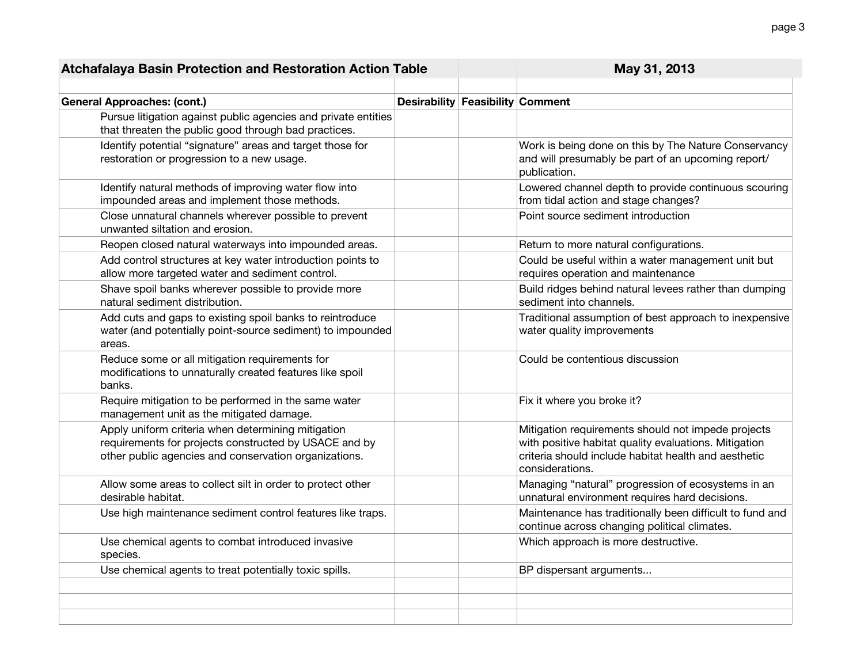| <b>Desirability Feasibility Comment</b><br><b>General Approaches: (cont.)</b><br>Pursue litigation against public agencies and private entities<br>that threaten the public good through bad practices.<br>Work is being done on this by The Nature Conservancy<br>Identify potential "signature" areas and target those for<br>restoration or progression to a new usage.<br>and will presumably be part of an upcoming report/<br>publication.<br>Identify natural methods of improving water flow into<br>Lowered channel depth to provide continuous scouring<br>impounded areas and implement those methods.<br>from tidal action and stage changes?<br>Close unnatural channels wherever possible to prevent<br>Point source sediment introduction<br>unwanted siltation and erosion.<br>Reopen closed natural waterways into impounded areas.<br>Return to more natural configurations.<br>Add control structures at key water introduction points to<br>Could be useful within a water management unit but |  |
|--------------------------------------------------------------------------------------------------------------------------------------------------------------------------------------------------------------------------------------------------------------------------------------------------------------------------------------------------------------------------------------------------------------------------------------------------------------------------------------------------------------------------------------------------------------------------------------------------------------------------------------------------------------------------------------------------------------------------------------------------------------------------------------------------------------------------------------------------------------------------------------------------------------------------------------------------------------------------------------------------------------------|--|
|                                                                                                                                                                                                                                                                                                                                                                                                                                                                                                                                                                                                                                                                                                                                                                                                                                                                                                                                                                                                                    |  |
|                                                                                                                                                                                                                                                                                                                                                                                                                                                                                                                                                                                                                                                                                                                                                                                                                                                                                                                                                                                                                    |  |
|                                                                                                                                                                                                                                                                                                                                                                                                                                                                                                                                                                                                                                                                                                                                                                                                                                                                                                                                                                                                                    |  |
|                                                                                                                                                                                                                                                                                                                                                                                                                                                                                                                                                                                                                                                                                                                                                                                                                                                                                                                                                                                                                    |  |
|                                                                                                                                                                                                                                                                                                                                                                                                                                                                                                                                                                                                                                                                                                                                                                                                                                                                                                                                                                                                                    |  |
|                                                                                                                                                                                                                                                                                                                                                                                                                                                                                                                                                                                                                                                                                                                                                                                                                                                                                                                                                                                                                    |  |
| allow more targeted water and sediment control.<br>requires operation and maintenance                                                                                                                                                                                                                                                                                                                                                                                                                                                                                                                                                                                                                                                                                                                                                                                                                                                                                                                              |  |
| Shave spoil banks wherever possible to provide more<br>Build ridges behind natural levees rather than dumping<br>natural sediment distribution.<br>sediment into channels.                                                                                                                                                                                                                                                                                                                                                                                                                                                                                                                                                                                                                                                                                                                                                                                                                                         |  |
| Add cuts and gaps to existing spoil banks to reintroduce<br>Traditional assumption of best approach to inexpensive<br>water (and potentially point-source sediment) to impounded<br>water quality improvements<br>areas.                                                                                                                                                                                                                                                                                                                                                                                                                                                                                                                                                                                                                                                                                                                                                                                           |  |
| Reduce some or all mitigation requirements for<br>Could be contentious discussion<br>modifications to unnaturally created features like spoil<br>banks.                                                                                                                                                                                                                                                                                                                                                                                                                                                                                                                                                                                                                                                                                                                                                                                                                                                            |  |
| Require mitigation to be performed in the same water<br>Fix it where you broke it?<br>management unit as the mitigated damage.                                                                                                                                                                                                                                                                                                                                                                                                                                                                                                                                                                                                                                                                                                                                                                                                                                                                                     |  |
| Apply uniform criteria when determining mitigation<br>Mitigation requirements should not impede projects<br>requirements for projects constructed by USACE and by<br>with positive habitat quality evaluations. Mitigation<br>other public agencies and conservation organizations.<br>criteria should include habitat health and aesthetic<br>considerations.                                                                                                                                                                                                                                                                                                                                                                                                                                                                                                                                                                                                                                                     |  |
| Managing "natural" progression of ecosystems in an<br>Allow some areas to collect silt in order to protect other<br>desirable habitat.<br>unnatural environment requires hard decisions.                                                                                                                                                                                                                                                                                                                                                                                                                                                                                                                                                                                                                                                                                                                                                                                                                           |  |
| Use high maintenance sediment control features like traps.<br>Maintenance has traditionally been difficult to fund and<br>continue across changing political climates.                                                                                                                                                                                                                                                                                                                                                                                                                                                                                                                                                                                                                                                                                                                                                                                                                                             |  |
| Which approach is more destructive.<br>Use chemical agents to combat introduced invasive<br>species.                                                                                                                                                                                                                                                                                                                                                                                                                                                                                                                                                                                                                                                                                                                                                                                                                                                                                                               |  |
| Use chemical agents to treat potentially toxic spills.<br>BP dispersant arguments                                                                                                                                                                                                                                                                                                                                                                                                                                                                                                                                                                                                                                                                                                                                                                                                                                                                                                                                  |  |
|                                                                                                                                                                                                                                                                                                                                                                                                                                                                                                                                                                                                                                                                                                                                                                                                                                                                                                                                                                                                                    |  |
|                                                                                                                                                                                                                                                                                                                                                                                                                                                                                                                                                                                                                                                                                                                                                                                                                                                                                                                                                                                                                    |  |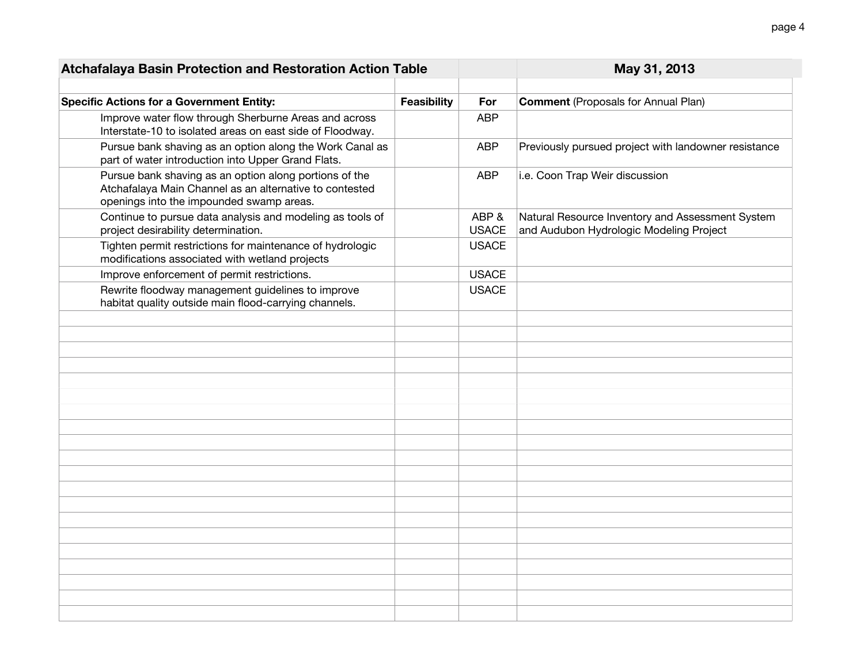| Atchafalaya Basin Protection and Restoration Action Table                                                                                                     |                    |                      | May 31, 2013                                                                                |
|---------------------------------------------------------------------------------------------------------------------------------------------------------------|--------------------|----------------------|---------------------------------------------------------------------------------------------|
|                                                                                                                                                               |                    |                      |                                                                                             |
| <b>Specific Actions for a Government Entity:</b>                                                                                                              | <b>Feasibility</b> | For                  | <b>Comment (Proposals for Annual Plan)</b>                                                  |
| Improve water flow through Sherburne Areas and across<br>Interstate-10 to isolated areas on east side of Floodway.                                            |                    | <b>ABP</b>           |                                                                                             |
| Pursue bank shaving as an option along the Work Canal as<br>part of water introduction into Upper Grand Flats.                                                |                    | <b>ABP</b>           | Previously pursued project with landowner resistance                                        |
| Pursue bank shaving as an option along portions of the<br>Atchafalaya Main Channel as an alternative to contested<br>openings into the impounded swamp areas. |                    | <b>ABP</b>           | i.e. Coon Trap Weir discussion                                                              |
| Continue to pursue data analysis and modeling as tools of<br>project desirability determination.                                                              |                    | ABP&<br><b>USACE</b> | Natural Resource Inventory and Assessment System<br>and Audubon Hydrologic Modeling Project |
| Tighten permit restrictions for maintenance of hydrologic<br>modifications associated with wetland projects                                                   |                    | <b>USACE</b>         |                                                                                             |
| Improve enforcement of permit restrictions.                                                                                                                   |                    | <b>USACE</b>         |                                                                                             |
| Rewrite floodway management guidelines to improve<br>habitat quality outside main flood-carrying channels.                                                    |                    | <b>USACE</b>         |                                                                                             |
|                                                                                                                                                               |                    |                      |                                                                                             |
|                                                                                                                                                               |                    |                      |                                                                                             |
|                                                                                                                                                               |                    |                      |                                                                                             |
|                                                                                                                                                               |                    |                      |                                                                                             |
|                                                                                                                                                               |                    |                      |                                                                                             |
|                                                                                                                                                               |                    |                      |                                                                                             |
|                                                                                                                                                               |                    |                      |                                                                                             |
|                                                                                                                                                               |                    |                      |                                                                                             |
|                                                                                                                                                               |                    |                      |                                                                                             |
|                                                                                                                                                               |                    |                      |                                                                                             |
|                                                                                                                                                               |                    |                      |                                                                                             |
|                                                                                                                                                               |                    |                      |                                                                                             |
|                                                                                                                                                               |                    |                      |                                                                                             |
|                                                                                                                                                               |                    |                      |                                                                                             |
|                                                                                                                                                               |                    |                      |                                                                                             |
|                                                                                                                                                               |                    |                      |                                                                                             |
|                                                                                                                                                               |                    |                      |                                                                                             |
|                                                                                                                                                               |                    |                      |                                                                                             |
|                                                                                                                                                               |                    |                      |                                                                                             |